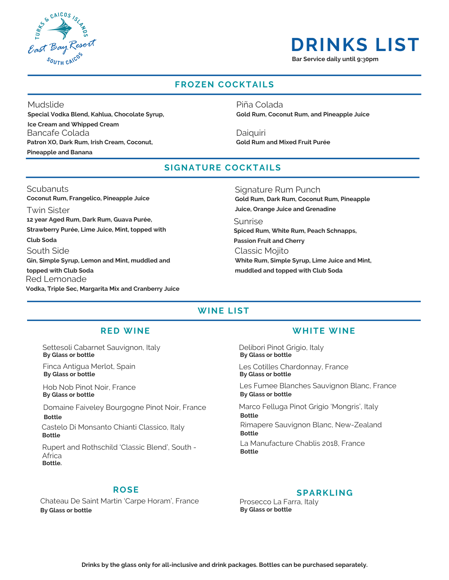

## **DRINKS LIST**

**Bar Service daily until 9:**3**0pm**

### **FROZEN COCKTAILS**

**Special Vodka Blend, Kahlua, Chocolate Syrup, Ice Cream and Whipped Cream** Mudslide

Bancafe Colada **Patron XO, Dark Rum, Irish Cream, Coconut,**

**Pineapple and Banana**

**Gold Rum, Coconut Rum, and Pineapple Juice** Piña Colada

**Gold Rum and Mixed Fruit Purée** Daiquiri

### **SIGNATURE COCKTAILS**

### Scubanuts

**12 year Aged Rum, Dark Rum, Guava Purée, Strawberry Purée, Lime Juice, Mint, topped with Club Soda** Twin Sister **Coconut Rum, Frangelico, Pineapple Juice Gin, Simple Syrup, Lemon and Mint, muddled and topped with Club Soda** South Side **Vodka, Triple Sec, Margarita Mix and Cranberry Juice** Red Lemonade

**Gold Rum, Dark Rum, Coconut Rum, Pineapple Juice, Orange Juice and Grenadine** Signature Rum Punch

**Spiced Rum, White Rum, Peach Schnapps, Passion Fruit and Cherry** Sunrise

**White Rum, Simple Syrup, Lime Juice and Mint, muddled and topped with Club Soda** Classic Mojito

### **WINE LIST**

**By Glass or bottle** Settesoli Cabarnet Sauvignon, Italy

Finca Antigua Merlot, Spain **By Glass or bottle**

Hob Nob Pinot Noir, France **By Glass or bottle**

Domaine Faiveley Bourgogne Pinot Noir, France **Bottle**

Castelo Di Monsanto Chianti Classico, Italy **Bottle**

Rupert and Rothschild 'Classic Blend', South - **Africa Bottle.**

### **ROSE**

Chateau De Saint Martin 'Carpe Horam', France **By Glass or bottle By Glass or bottle**

### **RED WINE WHITE WINE**

Delibori Pinot Grigio, Italy **By Glass or bottle**

Les Cotilles Chardonnay, France **By Glass or bottle**

Les Fumee Blanches Sauvignon Blanc, France **By Glass or bottle**

Rimapere Sauvignon Blanc, New-Zealand Marco Felluga Pinot Grigio 'Mongris', Italy **Bottle Bottle**

La Manufacture Chablis 2018, France **Bottle**

### **SPARKLING**

Prosecco La Farra, Italy<br>By Glass or bottle